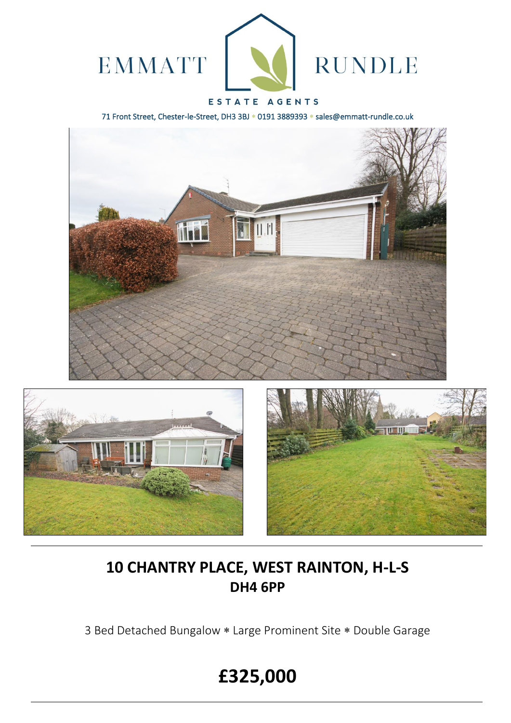

# ESTATE AGENTS

71 Front Street, Chester-le-Street, DH3 3BJ \* 0191 3889393 \* sales@emmatt-rundle.co.uk







# **10 CHANTRY PLACE, WEST RAINTON, H-L-S DH4 6PP**

3 Bed Detached Bungalow \* Large Prominent Site \* Double Garage

# **£325,000**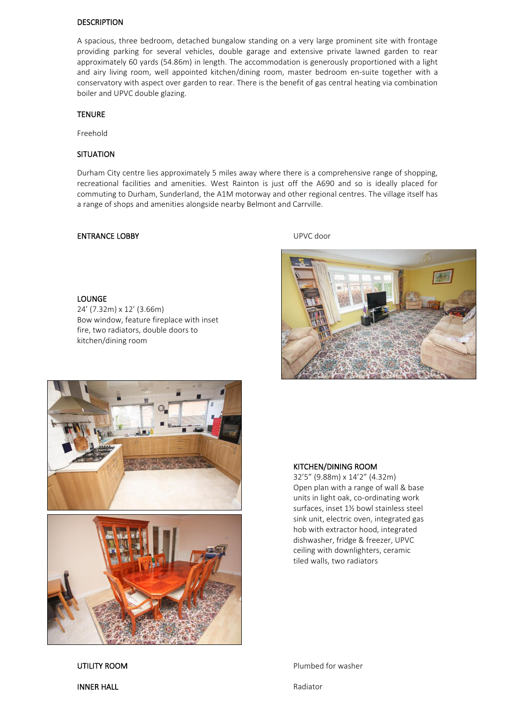#### DESCRIPTION

A spacious, three bedroom, detached bungalow standing on a very large prominent site with frontage providing parking for several vehicles, double garage and extensive private lawned garden to rear approximately 60 yards (54.86m) in length. The accommodation is generously proportioned with a light and airy living room, well appointed kitchen/dining room, master bedroom en-suite together with a conservatory with aspect over garden to rear. There is the benefit of gas central heating via combination boiler and UPVC double glazing.

#### **TENURE**

Freehold

### **SITUATION**

Durham City centre lies approximately 5 miles away where there is a comprehensive range of shopping, recreational facilities and amenities. West Rainton is just off the A690 and so is ideally placed for commuting to Durham, Sunderland, the A1M motorway and other regional centres. The village itself has a range of shops and amenities alongside nearby Belmont and Carrville.

### ENTRANCE LOBBY UPVC door

#### LOUNGE

24' (7.32m) x 12' (3.66m) Bow window, feature fireplace with inset fire, two radiators, double doors to kitchen/dining room







#### KITCHEN/DINING ROOM

32'5" (9.88m) x 14'2" (4.32m) Open plan with a range of wall & base units in light oak, co-ordinating work surfaces, inset 1½ bowl stainless steel sink unit, electric oven, integrated gas hob with extractor hood, integrated dishwasher, fridge & freezer, UPVC ceiling with downlighters, ceramic tiled walls, two radiators

UTILITY ROOM **Plumbed for washer** 

**INNER HALL** Radiator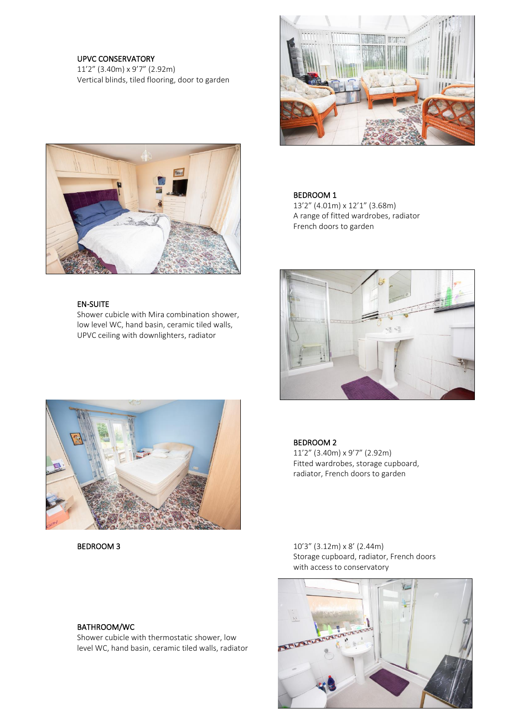## UPVC CONSERVATORY

11'2" (3.40m) x 9'7" (2.92m) Vertical blinds, tiled flooring, door to garden





 13'2" (4.01m) x 12'1" (3.68m) A range of fitted wardrobes, radiator French doors to garden





11'2" (3.40m) x 9'7" (2.92m) Fitted wardrobes, storage cupboard, radiator, French doors to garden

**BEDROOM 3** 10'3" (3.12m) x 8' (2.44m) Storage cupboard, radiator, French doors with access to conservatory





### EN-SUITE

Shower cubicle with Mira combination shower, low level WC, hand basin, ceramic tiled walls, UPVC ceiling with downlighters, radiator



BATHROOM/WC

Shower cubicle with thermostatic shower, low level WC, hand basin, ceramic tiled walls, radiator